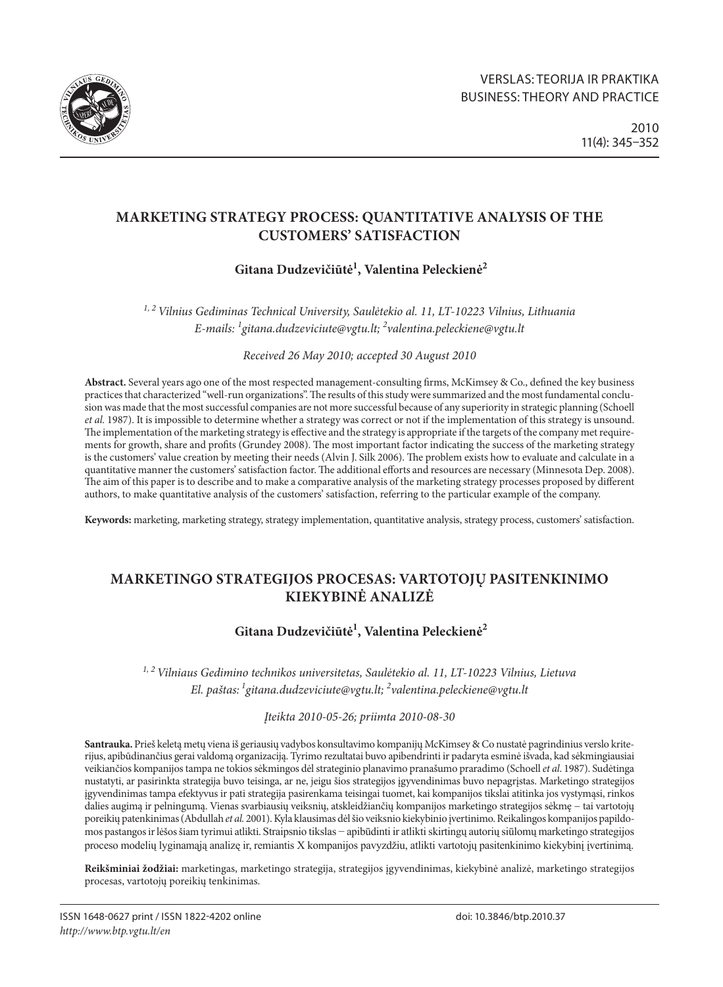

# **MARKETING STRATEGY PROCESS: QUANTITATIVE ANALYSIS OF THE CUSTOMERS' SATISFACTION**

# **Gitana Dudzevičiūtė1 , Valentina Peleckienė2**

*1, 2 Vilnius Gediminas Technical University, Saulėtekio al. 11, LT-10223 Vilnius, Lithuania E-mails: 1 gitana.dudzeviciute@vgtu.lt; 2 valentina.peleckiene@vgtu.lt*

*Received 26 May 2010; accepted 30 August 2010*

**Abstract.** Several years ago one of the most respected management-consulting firms, McKimsey & Co., defined the key business practices that characterized "well-run organizations". The results of this study were summarized and the most fundamental conclusion was made that the most successful companies are not more successful because of any superiority in strategic planning (Schoell *et al.* 1987). It is impossible to determine whether a strategy was correct or not if the implementation of this strategy is unsound. The implementation of the marketing strategy is effective and the strategy is appropriate if the targets of the company met requirements for growth, share and profits (Grundey 2008). The most important factor indicating the success of the marketing strategy is the customers' value creation by meeting their needs (Alvin J. Silk 2006). The problem exists how to evaluate and calculate in a quantitative manner the customers' satisfaction factor. The additional efforts and resources are necessary (Minnesota Dep. 2008). The aim of this paper is to describe and to make a comparative analysis of the marketing strategy processes proposed by different authors, to make quantitative analysis of the customers' satisfaction, referring to the particular example of the company.

**Keywords:** marketing, marketing strategy, strategy implementation, quantitative analysis, strategy process, customers' satisfaction.

# **MARKETINGO STRATEGIJOS PROCESAS: VARTOTOJŲ PASITENKINIMO KIEKYBINĖ ANALIZĖ**

# Gitana Dudzevičiūtė<sup>1</sup>, Valentina Peleckienė<sup>2</sup>

*1, 2 Vilniaus Gedimino technikos universitetas, Saulėtekio al. 11, LT-10223 Vilnius, Lietuva El. paštas: 1gitana.dudzeviciute@vgtu.lt; 2 valentina.peleckiene@vgtu.lt*

*Įteikta 2010-05-26; priimta 2010-08-30*

**Santrauka.** Prieš keletą metų viena iš geriausių vadybos konsultavimo kompanijų McKimsey & Co nustatė pagrindinius verslo kriterijus, apibūdinančius gerai valdomą organizaciją. Tyrimo rezultatai buvo apibendrinti ir padaryta esminė išvada, kad sėkmingiausiai veikiančios kompanijos tampa ne tokios sėkmingos dėl strateginio planavimo pranašumo praradimo (Schoell *et al*. 1987). Sudėtinga nustatyti, ar pasirinkta strategija buvo teisinga, ar ne, jeigu šios strategijos įgyvendinimas buvo nepagrįstas. Marketingo strategijos įgyvendinimas tampa efektyvus ir pati strategija pasirenkama teisingai tuomet, kai kompanijos tikslai atitinka jos vystymąsi, rinkos dalies augimą ir pelningumą. Vienas svarbiausių veiksnių, atskleidžiančių kompanijos marketingo strategijos sėkmę − tai vartotojų poreikių patenkinimas (Abdullah *et al.* 2001). Kyla klausimas dėl šio veiksnio kiekybinio įvertinimo. Reikalingos kompanijos papildomos pastangos ir lėšos šiam tyrimui atlikti. Straipsnio tikslas − apibūdinti ir atlikti skirtingų autorių siūlomų marketingo strategijos proceso modelių lyginamąją analizę ir, remiantis X kompanijos pavyzdžiu, atlikti vartotojų pasitenkinimo kiekybinį įvertinimą.

**Reikšminiai žodžiai:** marketingas, marketingo strategija, strategijos įgyvendinimas, kiekybinė analizė, marketingo strategijos procesas, vartotojų poreikių tenkinimas.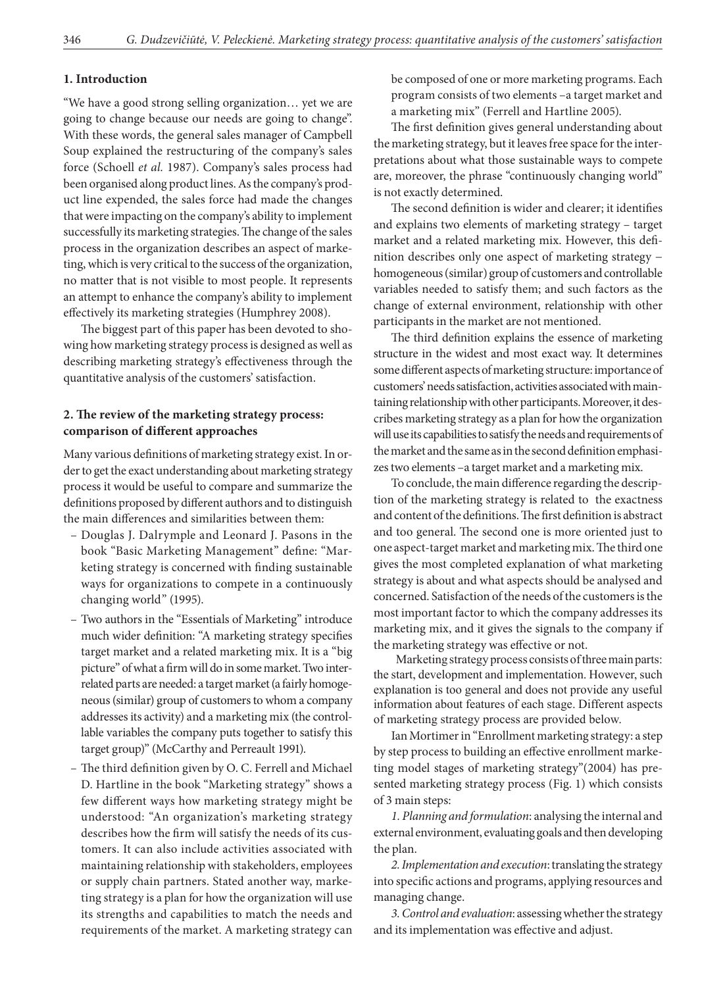### **1. Introduction**

"We have a good strong selling organization… yet we are going to change because our needs are going to change". With these words, the general sales manager of Campbell Soup explained the restructuring of the company's sales force (Schoell *et al.* 1987). Company's sales process had been organised along product lines. As the company's product line expended, the sales force had made the changes that were impacting on the company's ability to implement successfully its marketing strategies. The change of the sales process in the organization describes an aspect of marketing, which is very critical to the success of the organization, no matter that is not visible to most people. It represents an attempt to enhance the company's ability to implement effectively its marketing strategies (Humphrey 2008).

The biggest part of this paper has been devoted to showing how marketing strategy process is designed as well as describing marketing strategy's effectiveness through the quantitative analysis of the customers' satisfaction.

## **2. The review of the marketing strategy process: comparison of different approaches**

Many various definitions of marketing strategy exist. In order to get the exact understanding about marketing strategy process it would be useful to compare and summarize the definitions proposed by different authors and to distinguish the main differences and similarities between them:

- Douglas J. Dalrymple and Leonard J. Pasons in the book "Basic Marketing Management" define: "Marketing strategy is concerned with finding sustainable ways for organizations to compete in a continuously changing world" (1995).
- Two authors in the "Essentials of Marketing" introduce much wider definition: "A marketing strategy specifies target market and a related marketing mix. It is a "big picture" of what a firm will do in some market. Two interrelated parts are needed: a target market (a fairly homogeneous (similar) group of customers to whom a company addresses its activity) and a marketing mix (the controllable variables the company puts together to satisfy this target group)" (McCarthy and Perreault 1991).
- The third definition given by O. C. Ferrell and Michael D. Hartline in the book "Marketing strategy" shows a few different ways how marketing strategy might be understood: "An organization's marketing strategy describes how the firm will satisfy the needs of its customers. It can also include activities associated with maintaining relationship with stakeholders, employees or supply chain partners. Stated another way, marketing strategy is a plan for how the organization will use its strengths and capabilities to match the needs and requirements of the market. A marketing strategy can

be composed of one or more marketing programs. Each program consists of two elements –a target market and a marketing mix" (Ferrell and Hartline 2005).

The first definition gives general understanding about the marketing strategy, but it leaves free space for the interpretations about what those sustainable ways to compete are, moreover, the phrase "continuously changing world" is not exactly determined.

The second definition is wider and clearer; it identifies and explains two elements of marketing strategy – target market and a related marketing mix. However, this definition describes only one aspect of marketing strategy − homogeneous (similar) group of customers and controllable variables needed to satisfy them; and such factors as the change of external environment, relationship with other participants in the market are not mentioned.

The third definition explains the essence of marketing structure in the widest and most exact way. It determines some different aspects of marketing structure: importance of customers' needs satisfaction, activities associated with maintaining relationship with other participants. Moreover, it describes marketing strategy as a plan for how the organization will use its capabilities to satisfy the needs and requirements of the market and the same as in the second definition emphasizes two elements –a target market and a marketing mix.

To conclude, the main difference regarding the description of the marketing strategy is related to the exactness and content of the definitions. The first definition is abstract and too general. The second one is more oriented just to one aspect-target market and marketing mix. The third one gives the most completed explanation of what marketing strategy is about and what aspects should be analysed and concerned. Satisfaction of the needs of the customers is the most important factor to which the company addresses its marketing mix, and it gives the signals to the company if the marketing strategy was effective or not.

Marketing strategy process consists of three main parts: the start, development and implementation. However, such explanation is too general and does not provide any useful information about features of each stage. Different aspects of marketing strategy process are provided below.

Ian Mortimer in "Enrollment marketing strategy: a step by step process to building an effective enrollment marketing model stages of marketing strategy"(2004) has presented marketing strategy process (Fig. 1) which consists of 3 main steps:

*1. Planning and formulation*: analysing the internal and external environment, evaluating goals and then developing the plan.

*2. Implementation and execution*: translating the strategy into specific actions and programs, applying resources and managing change.

*3. Control and evaluation*: assessing whether the strategy and its implementation was effective and adjust.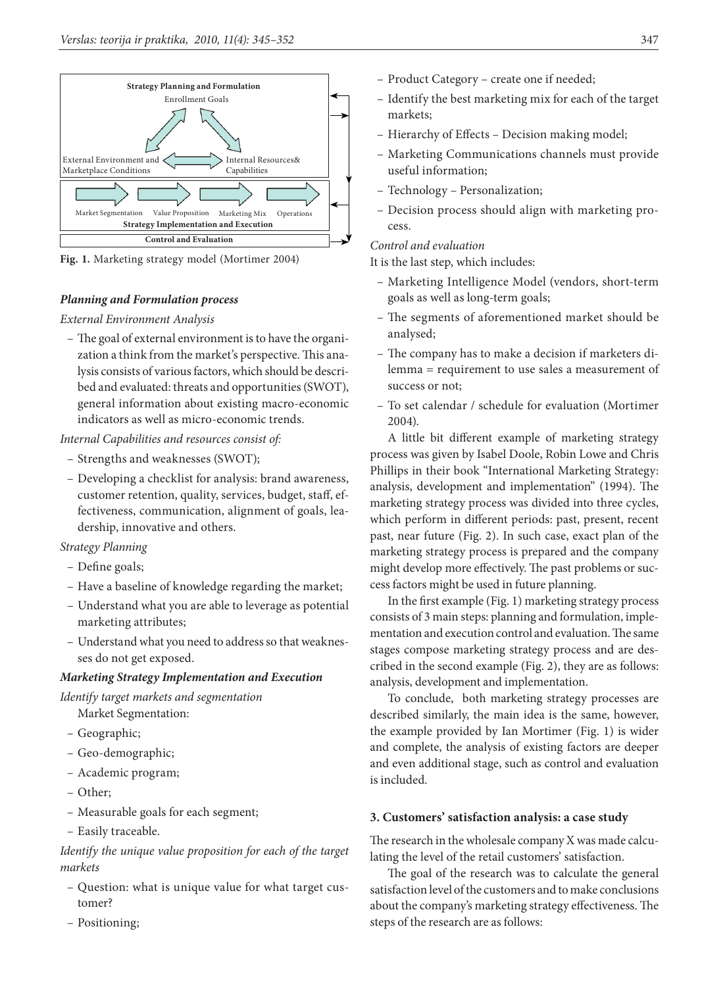

**Fig. 1.** Marketing strategy model (Mortimer 2004)

#### *Planning and Formulation process*

#### *External Environment Analysis*

– The goal of external environment is to have the organization a think from the market's perspective. This analysis consists of various factors, which should be described and evaluated: threats and opportunities (SWOT), general information about existing macro-economic indicators as well as micro-economic trends.

### *Internal Capabilities and resources consist of:*

- Strengths and weaknesses (SWOT);
- Developing a checklist for analysis: brand awareness, customer retention, quality, services, budget, staff, effectiveness, communication, alignment of goals, leadership, innovative and others.

### *Strategy Planning*

- Define goals;
- Have a baseline of knowledge regarding the market;
- Understand what you are able to leverage as potential marketing attributes;
- Understand what you need to address so that weaknesses do not get exposed.

### *Marketing Strategy Implementation and Execution*

*Identify target markets and segmentation*

- Market Segmentation: – Geographic;
- Geo-demographic;
- Academic program;
- Other;
- Measurable goals for each segment;
- Easily traceable.

## *Identify the unique value proposition for each of the target markets*

- Question: what is unique value for what target customer?
- Positioning;
- Product Category create one if needed;
- Identify the best marketing mix for each of the target markets;
- Hierarchy of Effects Decision making model;
- Marketing Communications channels must provide useful information;
- Technology Personalization;
- Decision process should align with marketing process.

*Control and evaluation*

It is the last step, which includes:

- Marketing Intelligence Model (vendors, short-term goals as well as long-term goals;
- The segments of aforementioned market should be analysed;
- The company has to make a decision if marketers dilemma = requirement to use sales a measurement of success or not;
- To set calendar / schedule for evaluation (Mortimer 2004).

A little bit different example of marketing strategy process was given by Isabel Doole, Robin Lowe and Chris Phillips in their book "International Marketing Strategy: analysis, development and implementation" (1994). The marketing strategy process was divided into three cycles, which perform in different periods: past, present, recent past, near future (Fig. 2). In such case, exact plan of the marketing strategy process is prepared and the company might develop more effectively. The past problems or success factors might be used in future planning.

In the first example (Fig. 1) marketing strategy process consists of 3 main steps: planning and formulation, implementation and execution control and evaluation. The same stages compose marketing strategy process and are described in the second example (Fig. 2), they are as follows: analysis, development and implementation.

To conclude, both marketing strategy processes are described similarly, the main idea is the same, however, the example provided by Ian Mortimer (Fig. 1) is wider and complete, the analysis of existing factors are deeper and even additional stage, such as control and evaluation is included.

#### **3. Customers' satisfaction analysis: a case study**

The research in the wholesale company X was made calculating the level of the retail customers' satisfaction.

The goal of the research was to calculate the general satisfaction level of the customers and to make conclusions about the company's marketing strategy effectiveness. The steps of the research are as follows: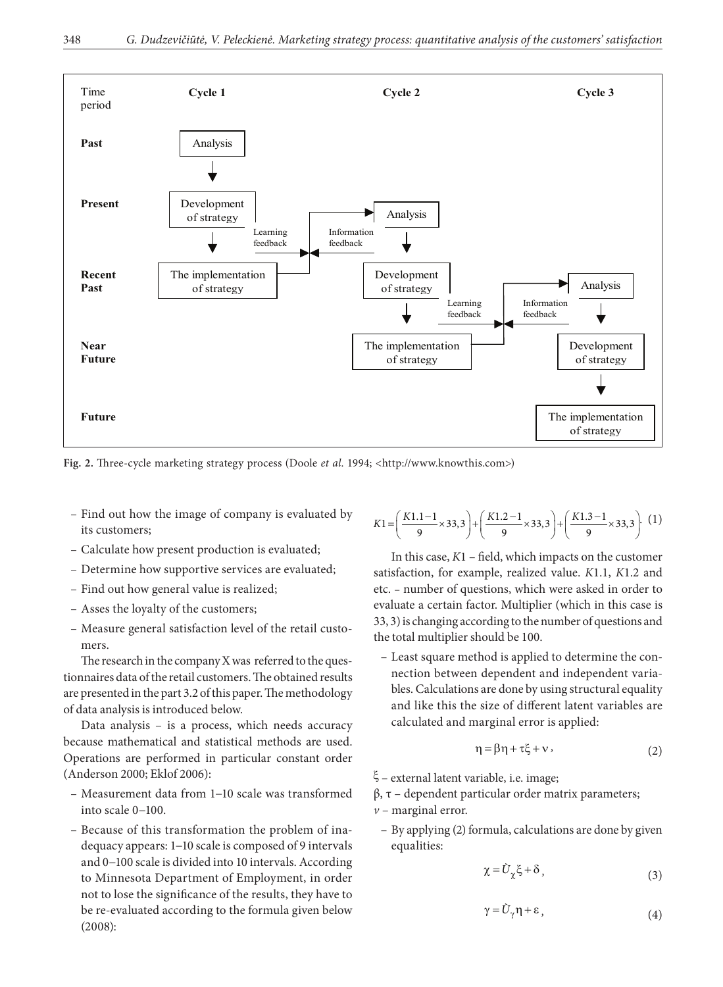

Fig. 2. Three-cycle marketing strategy process (Doole *et al.* 1994; <http://www.knowthis.com>)

- Find out how the image of company is evaluated by its customers;
- Calculate how present production is evaluated;
- Determine how supportive services are evaluated;
- Find out how general value is realized;
- Asses the loyalty of the customers;
- Measure general satisfaction level of the retail customers.

The research in the company X was referred to the questionnaires data of the retail customers. The obtained results are presented in the part 3.2 of this paper. The methodology of data analysis is introduced below.

Data analysis – is a process, which needs accuracy because mathematical and statistical methods are used. Operations are performed in particular constant order (Anderson 2000; Eklof 2006):

- Measurement data from 1−10 scale was transformed into scale 0−100.
- Because of this transformation the problem of inadequacy appears: 1−10 scale is composed of 9 intervals and 0−100 scale is divided into 10 intervals. According to Minnesota Department of Employment, in order not to lose the significance of the results, they have to be re-evaluated according to the formula given below (2008):

$$
K1 = \left(\frac{K1.1 - 1}{9} \times 33.3\right) + \left(\frac{K1.2 - 1}{9} \times 33.3\right) + \left(\frac{K1.3 - 1}{9} \times 33.3\right). (1)
$$

In this case, *K*1 – field, which impacts on the customer satisfaction, for example, realized value. *K*1.1, *K*1.2 and etc. – number of questions, which were asked in order to evaluate a certain factor. Multiplier (which in this case is 33, 3) is changing according to the number of questions and the total multiplier should be 100.

– Least square method is applied to determine the connection between dependent and independent variables. Calculations are done by using structural equality and like this the size of different latent variables are calculated and marginal error is applied:

$$
\eta = \beta \eta + \tau \xi + v, \qquad (2)
$$

ξ – external latent variable, i.e. image;

 $β$ , τ – dependent particular order matrix parameters; *v* – marginal error.

– By applying (2) formula, calculations are done by given equalities:

$$
\chi = \tilde{U}_{\chi} \xi + \delta \,, \tag{3}
$$

$$
\gamma = \tilde{U}_{\gamma} \eta + \varepsilon, \qquad (4)
$$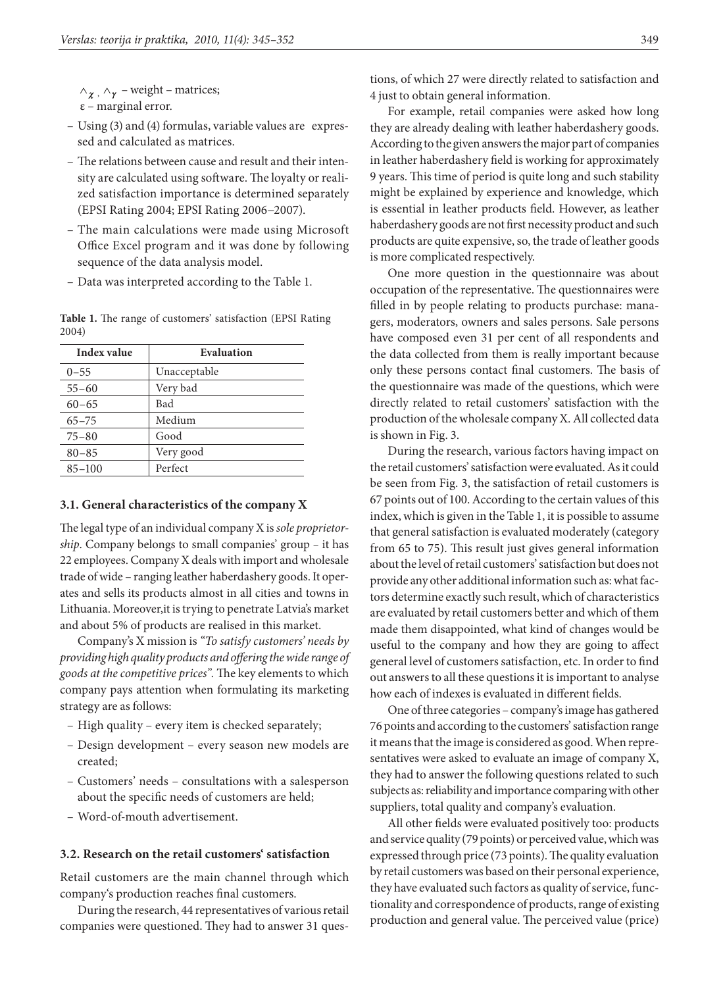$\wedge_{\gamma}$ ,  $\wedge_{\gamma}$  – weight – matrices; ε – marginal error.

- Using (3) and (4) formulas, variable values are expressed and calculated as matrices.
- The relations between cause and result and their intensity are calculated using software. The loyalty or realized satisfaction importance is determined separately (EPSI Rating 2004; EPSI Rating 2006−2007).
- The main calculations were made using Microsoft Office Excel program and it was done by following sequence of the data analysis model.
- Data was interpreted according to the Table 1.

**Table 1.** The range of customers' satisfaction (EPSI Rating 2004)

| Index value | Evaluation   |
|-------------|--------------|
| $0 - 55$    | Unacceptable |
| $55 - 60$   | Very bad     |
| $60 - 65$   | Bad          |
| $65 - 75$   | Medium       |
| $75 - 80$   | Good         |
| $80 - 85$   | Very good    |
| $85 - 100$  | Perfect      |

#### **3.1. General characteristics of the company X**

The legal type of an individual company X is *sole proprietorship*. Company belongs to small companies' group – it has 22 employees. Company X deals with import and wholesale trade of wide – ranging leather haberdashery goods. It operates and sells its products almost in all cities and towns in Lithuania. Moreover,it is trying to penetrate Latvia's market and about 5% of products are realised in this market.

Company's X mission is *"To satisfy customers' needs by providing high quality products and offering the wide range of goods at the competitive prices".* The key elements to which company pays attention when formulating its marketing strategy are as follows:

- High quality every item is checked separately;
- Design development every season new models are created;
- Customers' needs consultations with a salesperson about the specific needs of customers are held;
- Word-of-mouth advertisement.

### **3.2. Research on the retail customers' satisfaction**

Retail customers are the main channel through which company's production reaches final customers.

During the research, 44 representatives of various retail companies were questioned. They had to answer 31 ques-

For example, retail companies were asked how long they are already dealing with leather haberdashery goods. According to the given answers the major part of companies in leather haberdashery field is working for approximately 9 years. This time of period is quite long and such stability might be explained by experience and knowledge, which is essential in leather products field. However, as leather haberdashery goods are not first necessity product and such products are quite expensive, so, the trade of leather goods is more complicated respectively.

One more question in the questionnaire was about occupation of the representative. The questionnaires were filled in by people relating to products purchase: managers, moderators, owners and sales persons. Sale persons have composed even 31 per cent of all respondents and the data collected from them is really important because only these persons contact final customers. The basis of the questionnaire was made of the questions, which were directly related to retail customers' satisfaction with the production of the wholesale company X. All collected data is shown in Fig. 3.

During the research, various factors having impact on the retail customers' satisfaction were evaluated. As it could be seen from Fig. 3, the satisfaction of retail customers is 67 points out of 100. According to the certain values of this index, which is given in the Table 1, it is possible to assume that general satisfaction is evaluated moderately (category from 65 to 75). This result just gives general information about the level of retail customers' satisfaction but does not provide any other additional information such as: what factors determine exactly such result, which of characteristics are evaluated by retail customers better and which of them made them disappointed, what kind of changes would be useful to the company and how they are going to affect general level of customers satisfaction, etc. In order to find out answers to all these questions it is important to analyse how each of indexes is evaluated in different fields.

One of three categories – company's image has gathered 76 points and according to the customers' satisfaction range it means that the image is considered as good. When representatives were asked to evaluate an image of company X, they had to answer the following questions related to such subjects as: reliability and importance comparing with other suppliers, total quality and company's evaluation.

All other fields were evaluated positively too: products and service quality (79 points) or perceived value, which was expressed through price (73 points). The quality evaluation by retail customers was based on their personal experience, they have evaluated such factors as quality of service, functionality and correspondence of products, range of existing production and general value. The perceived value (price)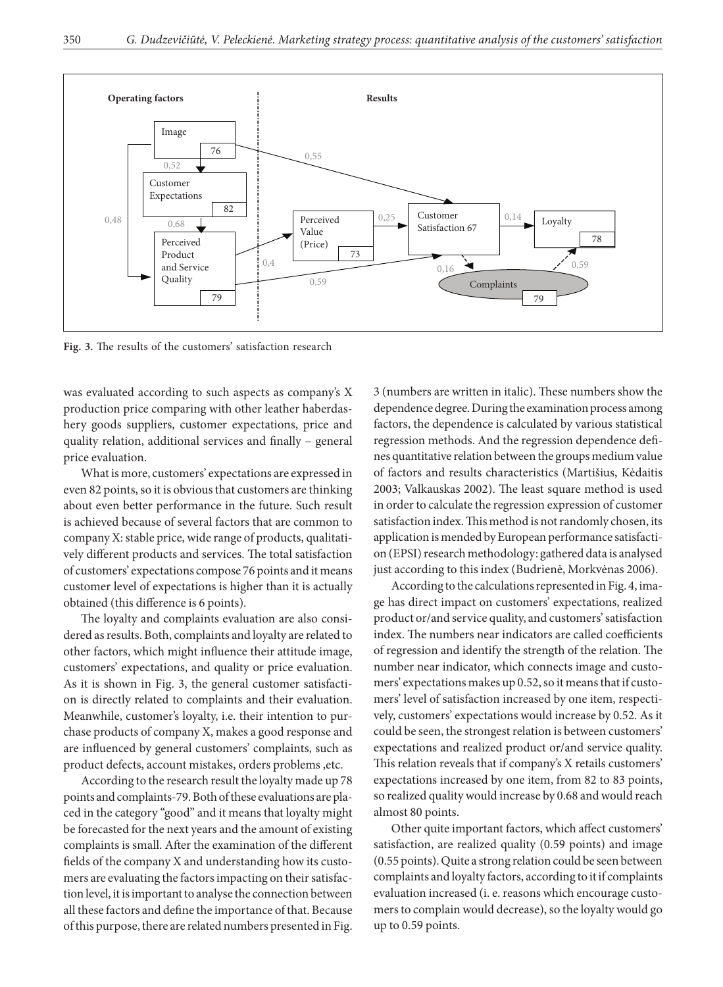

**Fig. 3.** The results of the customers' satisfaction research

was evaluated according to such aspects as company's X production price comparing with other leather haberdashery goods suppliers, customer expectations, price and quality relation, additional services and finally – general price evaluation.

What is more, customers' expectations are expressed in even 82 points, so it is obvious that customers are thinking about even better performance in the future. Such result is achieved because of several factors that are common to company X: stable price, wide range of products, qualitatively different products and services. The total satisfaction of customers' expectations compose 76 points and it means customer level of expectations is higher than it is actually obtained (this difference is 6 points).

The loyalty and complaints evaluation are also considered as results. Both, complaints and loyalty are related to other factors, which might influence their attitude image, customers' expectations, and quality or price evaluation. As it is shown in Fig. 3, the general customer satisfaction is directly related to complaints and their evaluation. Meanwhile, customer's loyalty, i.e. their intention to purchase products of company X, makes a good response and are influenced by general customers' complaints, such as product defects, account mistakes, orders problems ,etc.

According to the research result the loyalty made up 78 points and complaints-79. Both of these evaluations are placed in the category "good" and it means that loyalty might be forecasted for the next years and the amount of existing complaints is small. After the examination of the different fields of the company X and understanding how its customers are evaluating the factors impacting on their satisfaction level, it is important to analyse the connection between all these factors and define the importance of that. Because of this purpose, there are related numbers presented in Fig.

3 (numbers are written in italic). These numbers show the dependence degree. During the examination process among factors, the dependence is calculated by various statistical regression methods. And the regression dependence defines quantitative relation between the groups medium value of factors and results characteristics (Martišius, Kėdaitis 2003; Valkauskas 2002). The least square method is used in order to calculate the regression expression of customer satisfaction index. This method is not randomly chosen, its application is mended by European performance satisfaction (EPSI) research methodology: gathered data is analysed just according to this index (Budrienė, Morkvėnas 2006).

According to the calculations represented in Fig. 4, image has direct impact on customers' expectations, realized product or/and service quality, and customers' satisfaction index. The numbers near indicators are called coefficients of regression and identify the strength of the relation. The number near indicator, which connects image and customers' expectations makes up 0.52, so it means that if customers' level of satisfaction increased by one item, respectively, customers' expectations would increase by 0.52. As it could be seen, the strongest relation is between customers' expectations and realized product or/and service quality. This relation reveals that if company's X retails customers' expectations increased by one item, from 82 to 83 points, so realized quality would increase by 0.68 and would reach almost 80 points.

Other quite important factors, which affect customers' satisfaction, are realized quality (0.59 points) and image (0.55 points). Quite a strong relation could be seen between complaints and loyalty factors, according to it if complaints evaluation increased (i. e. reasons which encourage customers to complain would decrease), so the loyalty would go up to 0.59 points.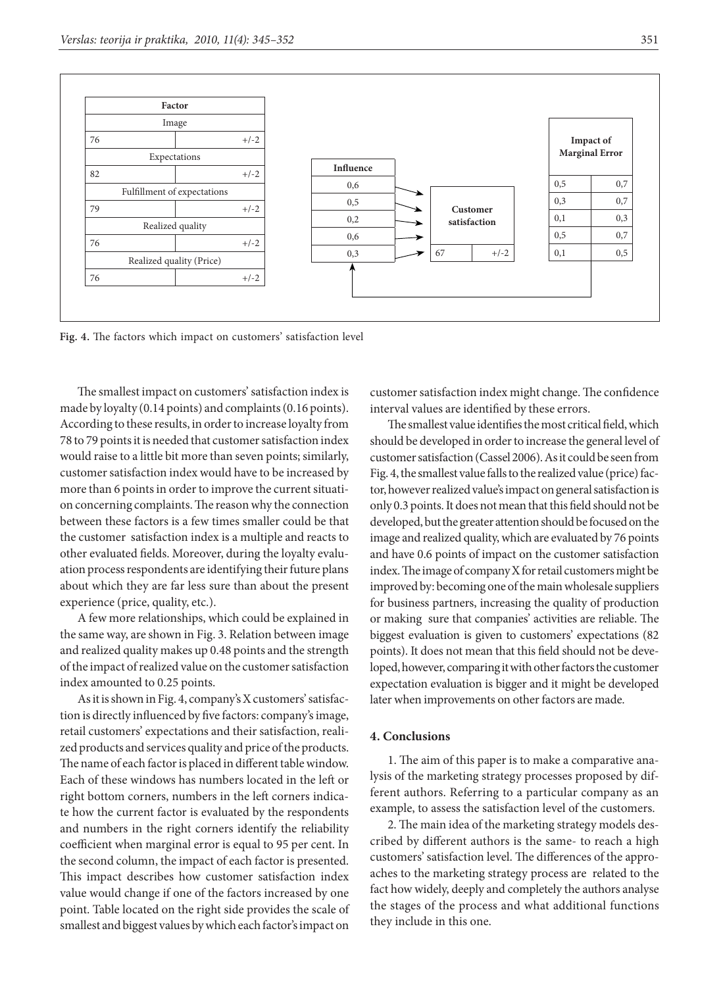

**Fig. 4.** The factors which impact on customers' satisfaction level

The smallest impact on customers' satisfaction index is made by loyalty (0.14 points) and complaints (0.16 points). According to these results, in order to increase loyalty from 78 to 79 points it is needed that customer satisfaction index would raise to a little bit more than seven points; similarly, customer satisfaction index would have to be increased by more than 6 points in order to improve the current situation concerning complaints. The reason why the connection between these factors is a few times smaller could be that the customer satisfaction index is a multiple and reacts to other evaluated fields. Moreover, during the loyalty evaluation process respondents are identifying their future plans about which they are far less sure than about the present experience (price, quality, etc.).

A few more relationships, which could be explained in the same way, are shown in Fig. 3. Relation between image and realized quality makes up 0.48 points and the strength of the impact of realized value on the customer satisfaction index amounted to 0.25 points.

As it is shown in Fig. 4, company's X customers' satisfaction is directly influenced by five factors: company's image, retail customers' expectations and their satisfaction, realized products and services quality and price of the products. The name of each factor is placed in different table window. Each of these windows has numbers located in the left or right bottom corners, numbers in the left corners indicate how the current factor is evaluated by the respondents and numbers in the right corners identify the reliability coefficient when marginal error is equal to 95 per cent. In the second column, the impact of each factor is presented. This impact describes how customer satisfaction index value would change if one of the factors increased by one point. Table located on the right side provides the scale of smallest and biggest values by which each factor's impact on

customer satisfaction index might change. The confidence interval values are identified by these errors.

The smallest value identifies the most critical field, which should be developed in order to increase the general level of customer satisfaction (Cassel 2006). As it could be seen from Fig. 4, the smallest value falls to the realized value (price) factor, however realized value's impact on general satisfaction is only 0.3 points. It does not mean that this field should not be developed, but the greater attention should be focused on the image and realized quality, which are evaluated by 76 points and have 0.6 points of impact on the customer satisfaction index. The image of company X for retail customers might be improved by: becoming one of the main wholesale suppliers for business partners, increasing the quality of production or making sure that companies' activities are reliable. The biggest evaluation is given to customers' expectations (82 points). It does not mean that this field should not be developed, however, comparing it with other factors the customer expectation evaluation is bigger and it might be developed later when improvements on other factors are made.

#### **4. Conclusions**

1. The aim of this paper is to make a comparative analysis of the marketing strategy processes proposed by different authors. Referring to a particular company as an example, to assess the satisfaction level of the customers.

2. The main idea of the marketing strategy models described by different authors is the same- to reach a high customers' satisfaction level. The differences of the approaches to the marketing strategy process are related to the fact how widely, deeply and completely the authors analyse the stages of the process and what additional functions they include in this one.